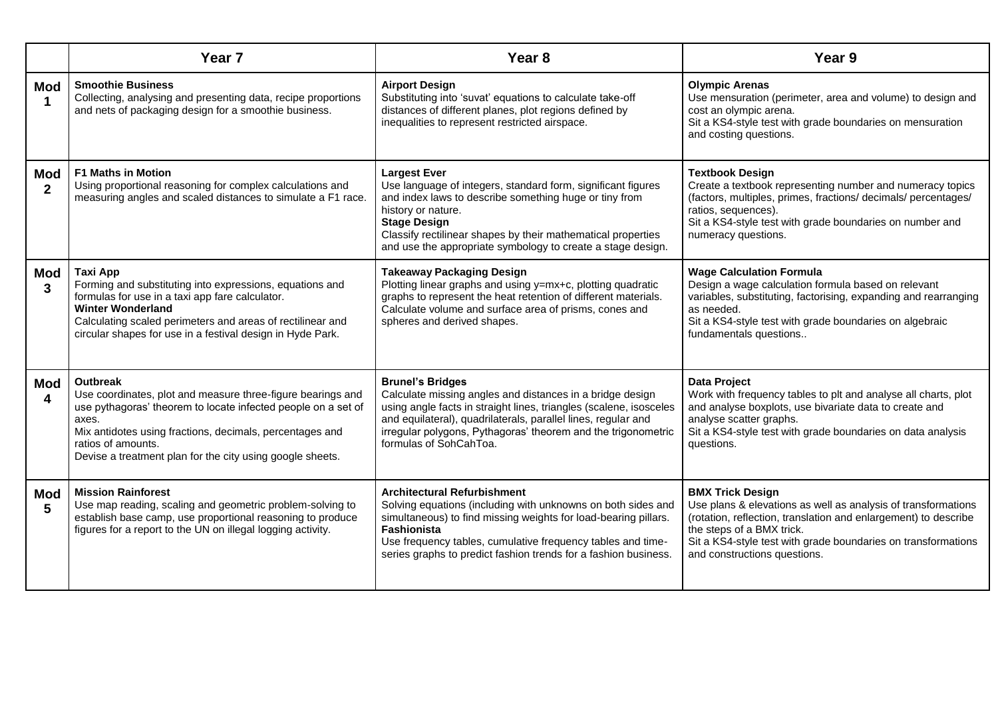|                            | Year <sub>7</sub>                                                                                                                                                                                                                                                                                       | Year <sub>8</sub>                                                                                                                                                                                                                                                                                                         | Year 9                                                                                                                                                                                                                                                                                    |
|----------------------------|---------------------------------------------------------------------------------------------------------------------------------------------------------------------------------------------------------------------------------------------------------------------------------------------------------|---------------------------------------------------------------------------------------------------------------------------------------------------------------------------------------------------------------------------------------------------------------------------------------------------------------------------|-------------------------------------------------------------------------------------------------------------------------------------------------------------------------------------------------------------------------------------------------------------------------------------------|
| <b>Mod</b>                 | <b>Smoothie Business</b><br>Collecting, analysing and presenting data, recipe proportions<br>and nets of packaging design for a smoothie business.                                                                                                                                                      | <b>Airport Design</b><br>Substituting into 'suvat' equations to calculate take-off<br>distances of different planes, plot regions defined by<br>inequalities to represent restricted airspace.                                                                                                                            | <b>Olympic Arenas</b><br>Use mensuration (perimeter, area and volume) to design and<br>cost an olympic arena.<br>Sit a KS4-style test with grade boundaries on mensuration<br>and costing questions.                                                                                      |
| <b>Mod</b><br>$\mathbf{2}$ | <b>F1 Maths in Motion</b><br>Using proportional reasoning for complex calculations and<br>measuring angles and scaled distances to simulate a F1 race.                                                                                                                                                  | <b>Largest Ever</b><br>Use language of integers, standard form, significant figures<br>and index laws to describe something huge or tiny from<br>history or nature.<br><b>Stage Design</b><br>Classify rectilinear shapes by their mathematical properties<br>and use the appropriate symbology to create a stage design. | <b>Textbook Design</b><br>Create a textbook representing number and numeracy topics<br>(factors, multiples, primes, fractions/ decimals/ percentages/<br>ratios, sequences).<br>Sit a KS4-style test with grade boundaries on number and<br>numeracy questions.                           |
| <b>Mod</b><br>3            | Taxi App<br>Forming and substituting into expressions, equations and<br>formulas for use in a taxi app fare calculator.<br><b>Winter Wonderland</b><br>Calculating scaled perimeters and areas of rectilinear and<br>circular shapes for use in a festival design in Hyde Park.                         | <b>Takeaway Packaging Design</b><br>Plotting linear graphs and using y=mx+c, plotting quadratic<br>graphs to represent the heat retention of different materials.<br>Calculate volume and surface area of prisms, cones and<br>spheres and derived shapes.                                                                | <b>Wage Calculation Formula</b><br>Design a wage calculation formula based on relevant<br>variables, substituting, factorising, expanding and rearranging<br>as needed.<br>Sit a KS4-style test with grade boundaries on algebraic<br>fundamentals questions                              |
| <b>Mod</b><br>$\mathbf 4$  | <b>Outbreak</b><br>Use coordinates, plot and measure three-figure bearings and<br>use pythagoras' theorem to locate infected people on a set of<br>axes.<br>Mix antidotes using fractions, decimals, percentages and<br>ratios of amounts.<br>Devise a treatment plan for the city using google sheets. | <b>Brunel's Bridges</b><br>Calculate missing angles and distances in a bridge design<br>using angle facts in straight lines, triangles (scalene, isosceles<br>and equilateral), quadrilaterals, parallel lines, regular and<br>irregular polygons, Pythagoras' theorem and the trigonometric<br>formulas of SohCahToa.    | Data Project<br>Work with frequency tables to plt and analyse all charts, plot<br>and analyse boxplots, use bivariate data to create and<br>analyse scatter graphs.<br>Sit a KS4-style test with grade boundaries on data analysis<br>questions.                                          |
| Mod<br>5                   | <b>Mission Rainforest</b><br>Use map reading, scaling and geometric problem-solving to<br>establish base camp, use proportional reasoning to produce<br>figures for a report to the UN on illegal logging activity.                                                                                     | <b>Architectural Refurbishment</b><br>Solving equations (including with unknowns on both sides and<br>simultaneous) to find missing weights for load-bearing pillars.<br>Fashionista<br>Use frequency tables, cumulative frequency tables and time-<br>series graphs to predict fashion trends for a fashion business.    | <b>BMX Trick Design</b><br>Use plans & elevations as well as analysis of transformations<br>(rotation, reflection, translation and enlargement) to describe<br>the steps of a BMX trick.<br>Sit a KS4-style test with grade boundaries on transformations<br>and constructions questions. |